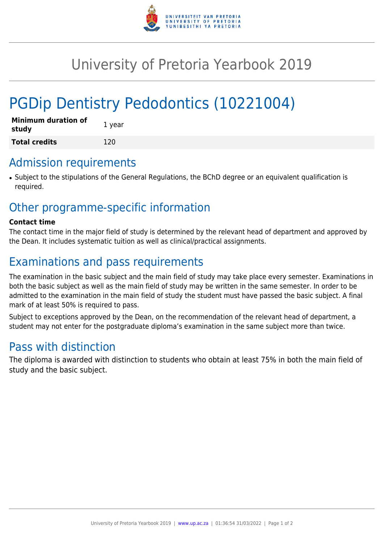

# University of Pretoria Yearbook 2019

# PGDip Dentistry Pedodontics (10221004)

| <b>Minimum duration of</b><br>study | 1 year |
|-------------------------------------|--------|
| <b>Total credits</b>                | 120    |

#### Admission requirements

● Subject to the stipulations of the General Regulations, the BChD degree or an equivalent qualification is required.

### Other programme-specific information

#### **Contact time**

The contact time in the major field of study is determined by the relevant head of department and approved by the Dean. It includes systematic tuition as well as clinical/practical assignments.

## Examinations and pass requirements

The examination in the basic subject and the main field of study may take place every semester. Examinations in both the basic subject as well as the main field of study may be written in the same semester. In order to be admitted to the examination in the main field of study the student must have passed the basic subject. A final mark of at least 50% is required to pass.

Subject to exceptions approved by the Dean, on the recommendation of the relevant head of department, a student may not enter for the postgraduate diploma's examination in the same subject more than twice.

### Pass with distinction

The diploma is awarded with distinction to students who obtain at least 75% in both the main field of study and the basic subject.